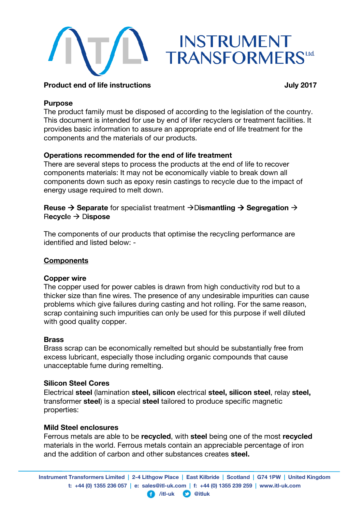

## **Product end of life instructions** *July 2017*

### **Purpose**

The product family must be disposed of according to the legislation of the country. This document is intended for use by end of lifer recyclers or treatment facilities. It provides basic information to assure an appropriate end of life treatment for the components and the materials of our products.

# **Operations recommended for the end of life treatment**

There are several steps to process the products at the end of life to recover components materials: It may not be economically viable to break down all components down such as epoxy resin castings to recycle due to the impact of energy usage required to melt down.

# **Reuse**  $\rightarrow$  Separate for specialist treatment  $\rightarrow$  Dismantling  $\rightarrow$  Segregation  $\rightarrow$ R**ecycl**e D**ispose**

The components of our products that optimise the recycling performance are identified and listed below: -

## **Components**

## **Copper wire**

The copper used for power cables is drawn from high conductivity rod but to a thicker size than fine wires. The presence of any undesirable impurities can cause problems which give failures during casting and hot rolling. For the same reason, scrap containing such impurities can only be used for this purpose if well diluted with good quality copper.

## **Brass**

Brass scrap can be economically remelted but should be substantially free from excess lubricant, especially those including organic compounds that cause unacceptable fume during remelting.

#### **Silicon Steel Cores**

Electrical **steel** (lamination **steel, silicon** electrical **steel, silicon steel**, relay **steel,** transformer **steel**) is a special **steel** tailored to produce specific magnetic properties:

#### **Mild Steel enclosures**

Ferrous metals are able to be **recycled**, with **steel** being one of the most **recycled** materials in the world. Ferrous metals contain an appreciable percentage of iron and the addition of carbon and other substances creates **steel.**

**Instrument Transformers Limited | 2-4 Lithgow Place | East Kilbride | Scotland | G74 1PW | United Kingdom t: +44 (0) 1355 236 057 | e: sales@itl-uk.com | f: +44 (0) 1355 239 259 | www.itl-uk.com**

**/itl-uk @itluk**